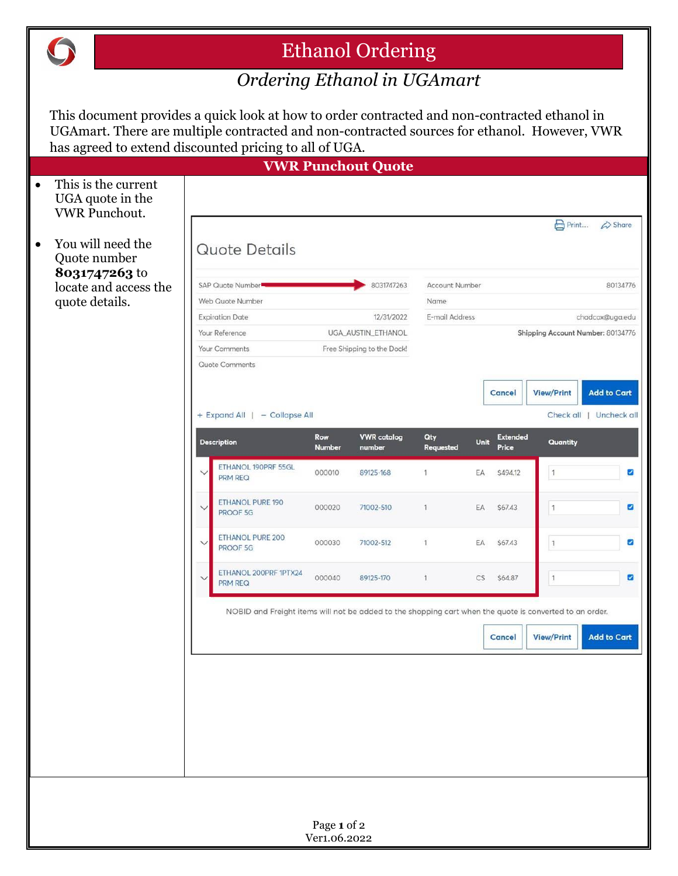

## Ethanol Ordering

## *Ordering Ethanol in UGAmart*

This document provides a quick look at how to order contracted and non-contracted ethanol in UGAmart. There are multiple contracted and non-contracted sources for ethanol. However, VWR has agreed to extend discounted pricing to all of UGA.

|           | has agreed to extend discounted pricing to all of OGA. |                                                                                                         |                                  |                                  |                              |                                   |      |                          |                   |                         |
|-----------|--------------------------------------------------------|---------------------------------------------------------------------------------------------------------|----------------------------------|----------------------------------|------------------------------|-----------------------------------|------|--------------------------|-------------------|-------------------------|
|           | This is the current                                    |                                                                                                         |                                  |                                  | <b>VWR Punchout Quote</b>    |                                   |      |                          |                   |                         |
| $\bullet$ | UGA quote in the<br><b>VWR Punchout.</b>               |                                                                                                         |                                  |                                  |                              |                                   |      |                          |                   |                         |
|           |                                                        |                                                                                                         |                                  |                                  |                              |                                   |      |                          | Print             | $\triangle$ Share       |
| $\bullet$ | You will need the<br>Quote number                      | Quote Details                                                                                           |                                  |                                  |                              |                                   |      |                          |                   |                         |
|           | 8031747263 to<br>locate and access the                 |                                                                                                         | SAP Quote Number<br>8031747263   |                                  |                              | <b>Account Number</b><br>80134776 |      |                          |                   |                         |
|           | quote details.                                         | Web Quote Number                                                                                        |                                  |                                  | Name                         |                                   |      |                          |                   |                         |
|           |                                                        |                                                                                                         | <b>Expiration Date</b>           | 12/31/2022<br>UGA_AUSTIN_ETHANOL |                              | E-mail Address                    |      |                          |                   | chadcox@uga.edu         |
|           |                                                        |                                                                                                         | Your Reference                   |                                  |                              | Shipping Account Number: 80134776 |      |                          |                   |                         |
|           |                                                        |                                                                                                         | Your Comments                    |                                  | Free Shipping to the Dock!   |                                   |      |                          |                   |                         |
|           |                                                        |                                                                                                         | Quote Comments                   |                                  |                              |                                   |      |                          |                   |                         |
|           |                                                        |                                                                                                         |                                  |                                  |                              |                                   |      | <b>Cancel</b>            | <b>View/Print</b> | <b>Add to Cart</b>      |
|           |                                                        |                                                                                                         | + Expand All   - Collapse All    |                                  |                              |                                   |      |                          |                   | Check all   Uncheck all |
|           |                                                        |                                                                                                         | <b>Description</b>               | Row<br><b>Number</b>             | <b>VWR</b> catalog<br>number | Qty<br><b>Requested</b>           | Unit | <b>Extended</b><br>Price | Quantity          |                         |
|           |                                                        | $\checkmark$                                                                                            | ETHANOL 190PRF 55GL<br>PRM REQ   | 000010                           | 89125-168                    | $\overline{1}$                    | EA   | \$494.12                 | $\mathbf{1}$      | ☑                       |
|           |                                                        | $\checkmark$                                                                                            | ETHANOL PURE 190<br>PROOF 5G     | 000020                           | 71002-510                    | $\mathbf{1}$                      | EA   | \$67.43                  | $\ddagger$        | $\overline{\mathbf{S}}$ |
|           |                                                        | $\checkmark$                                                                                            | ETHANOL PURE 200<br>PROOF 5G     | 000030                           | 71002-512                    | $\mathbf{1}$                      | EA   | \$67.43                  | $1\,$             | $\overline{\mathbf{z}}$ |
|           |                                                        | $\checkmark$                                                                                            | ETHANOL 200PRF 1PTX24<br>PRM REQ | 000040                           | 89125-170                    | $\mathbf{1}$                      | CS   | \$64.87                  | $\mathbf{1}$      | ø                       |
|           |                                                        | NOBID and Freight items will not be added to the shopping cart when the quote is converted to an order. |                                  |                                  |                              |                                   |      |                          |                   |                         |
|           |                                                        |                                                                                                         |                                  |                                  |                              |                                   |      | Cancel                   | <b>View/Print</b> | <b>Add to Cart</b>      |
|           |                                                        |                                                                                                         |                                  |                                  |                              |                                   |      |                          |                   |                         |
|           |                                                        |                                                                                                         |                                  |                                  |                              |                                   |      |                          |                   |                         |
|           |                                                        |                                                                                                         |                                  |                                  |                              |                                   |      |                          |                   |                         |
|           |                                                        |                                                                                                         |                                  |                                  |                              |                                   |      |                          |                   |                         |
|           |                                                        |                                                                                                         |                                  |                                  |                              |                                   |      |                          |                   |                         |
|           |                                                        |                                                                                                         |                                  |                                  |                              |                                   |      |                          |                   |                         |
|           |                                                        |                                                                                                         |                                  |                                  |                              |                                   |      |                          |                   |                         |
|           |                                                        |                                                                                                         |                                  |                                  |                              |                                   |      |                          |                   |                         |
|           |                                                        |                                                                                                         |                                  |                                  |                              |                                   |      |                          |                   |                         |
|           |                                                        |                                                                                                         |                                  | Page 1 of 2                      |                              |                                   |      |                          |                   |                         |
|           |                                                        |                                                                                                         |                                  | Ver1.06.2022                     |                              |                                   |      |                          |                   |                         |